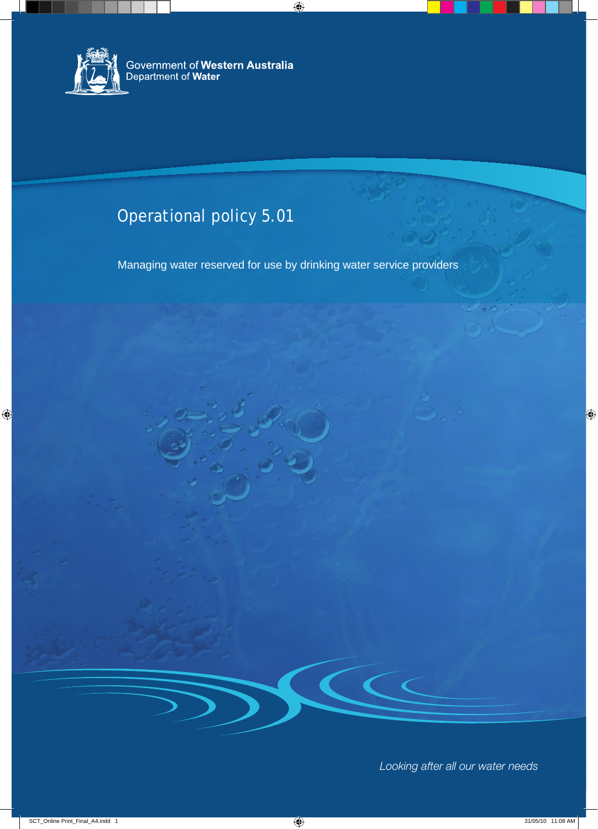

## Operational policy 5.01

Managing water reserved for use by drinking water service providers

*Looking after all our water needs*

 $\begin{array}{ccc} \bullet & \bullet & \bullet \end{array}$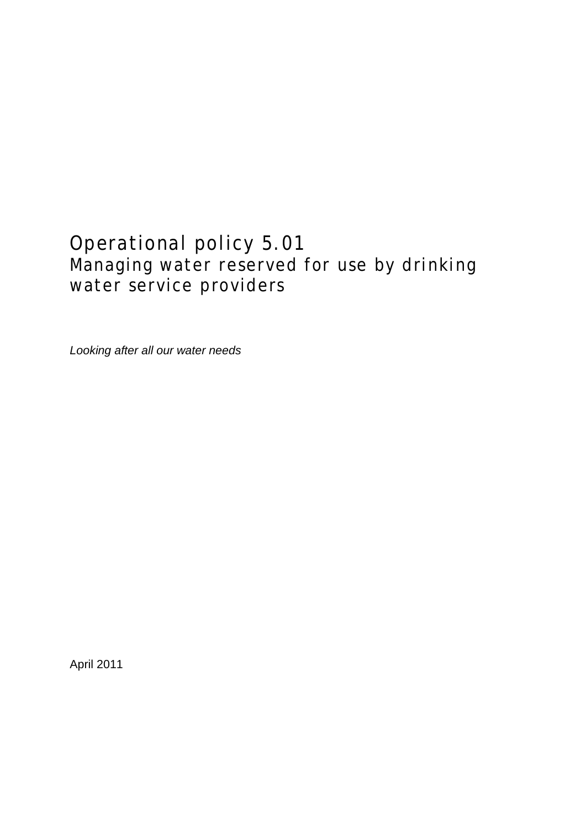## Operational policy 5.01 Managing water reserved for use by drinking water service providers

*Looking after all our water needs*

April 2011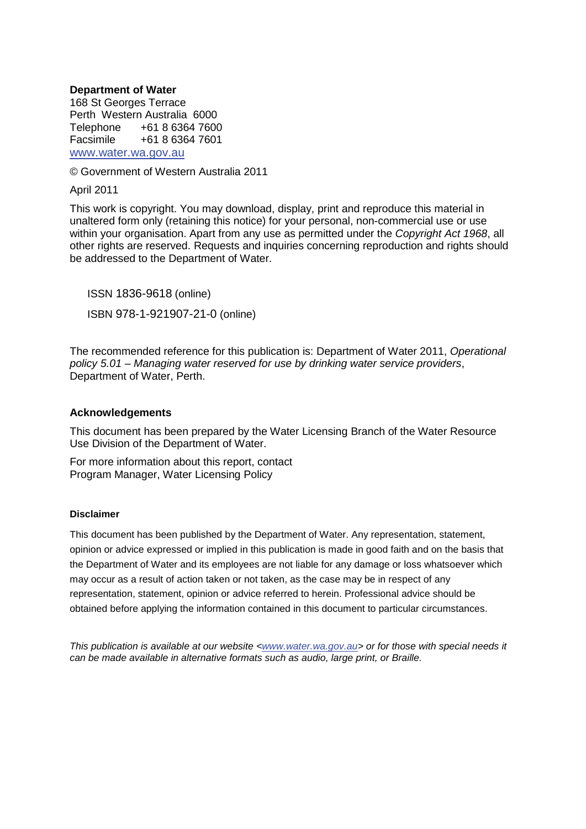#### **Department of Water**

168 St Georges Terrace Perth Western Australia 6000 Telephone +61 8 6364 7600<br>Facsimile +61 8 6364 7601 Facsimile +61 8 6364 7601 [www.water.wa.gov.au](http://www.water.wa.gov.au/)

© Government of Western Australia 2011

April 2011

This work is copyright. You may download, display, print and reproduce this material in unaltered form only (retaining this notice) for your personal, non-commercial use or use within your organisation. Apart from any use as permitted under the *Copyright Act 1968*, all other rights are reserved. Requests and inquiries concerning reproduction and rights should be addressed to the Department of Water.

ISSN 1836-9618 (online) ISBN 978-1-921907-21-0 (online)

The recommended reference for this publication is: Department of Water 2011, *Operational policy 5.01 – Managing water reserved for use by drinking water service providers*, Department of Water, Perth.

#### **Acknowledgements**

This document has been prepared by the Water Licensing Branch of the Water Resource Use Division of the Department of Water.

For more information about this report, contact Program Manager, Water Licensing Policy

#### **Disclaimer**

This document has been published by the Department of Water. Any representation, statement, opinion or advice expressed or implied in this publication is made in good faith and on the basis that the Department of Water and its employees are not liable for any damage or loss whatsoever which may occur as a result of action taken or not taken, as the case may be in respect of any representation, statement, opinion or advice referred to herein. Professional advice should be obtained before applying the information contained in this document to particular circumstances.

*This publication is available at our website [<www.water.wa.gov.au>](http://www.water.wa.gov.au/) or for those with special needs it can be made available in alternative formats such as audio, large print, or Braille.*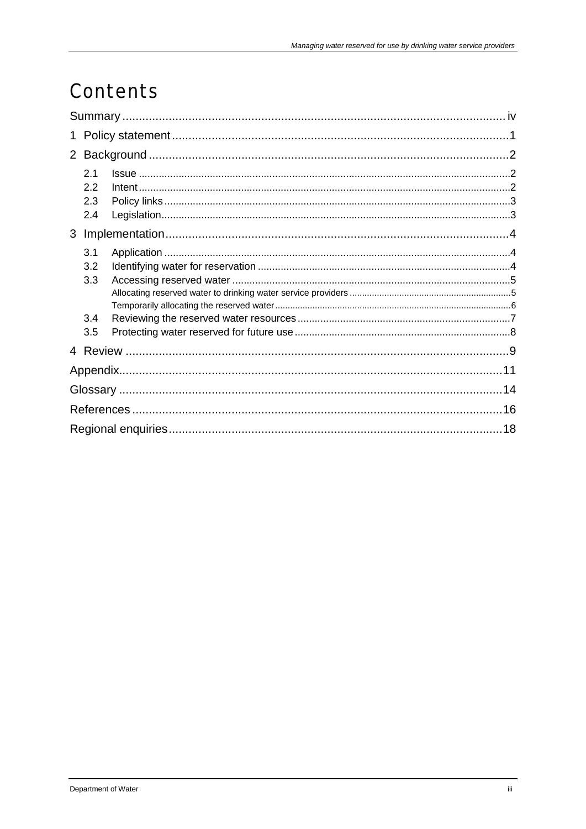## Contents

|  | 2.1<br>2.2<br>2.3<br>2.4 |  |  |  |  |
|--|--------------------------|--|--|--|--|
|  |                          |  |  |  |  |
|  | 3.1                      |  |  |  |  |
|  | 3.2                      |  |  |  |  |
|  | 3.3                      |  |  |  |  |
|  |                          |  |  |  |  |
|  |                          |  |  |  |  |
|  | 3.4                      |  |  |  |  |
|  | 3.5                      |  |  |  |  |
|  |                          |  |  |  |  |
|  |                          |  |  |  |  |
|  |                          |  |  |  |  |
|  |                          |  |  |  |  |
|  |                          |  |  |  |  |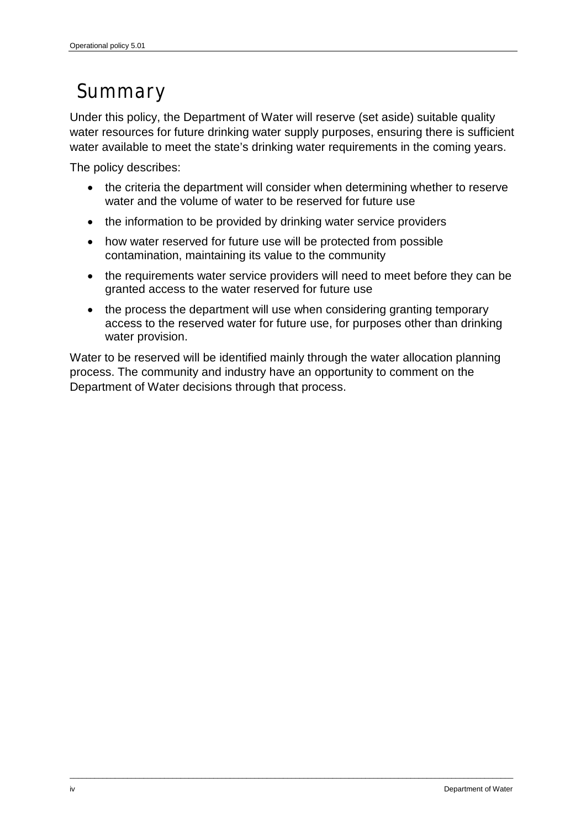## <span id="page-5-0"></span>Summary

Under this policy, the Department of Water will reserve (set aside) suitable quality water resources for future drinking water supply purposes, ensuring there is sufficient water available to meet the state's drinking water requirements in the coming years.

The policy describes:

- the criteria the department will consider when determining whether to reserve water and the volume of water to be reserved for future use
- the information to be provided by drinking water service providers
- how water reserved for future use will be protected from possible contamination, maintaining its value to the community
- the requirements water service providers will need to meet before they can be granted access to the water reserved for future use
- the process the department will use when considering granting temporary access to the reserved water for future use, for purposes other than drinking water provision.

Water to be reserved will be identified mainly through the water allocation planning process. The community and industry have an opportunity to comment on the Department of Water decisions through that process.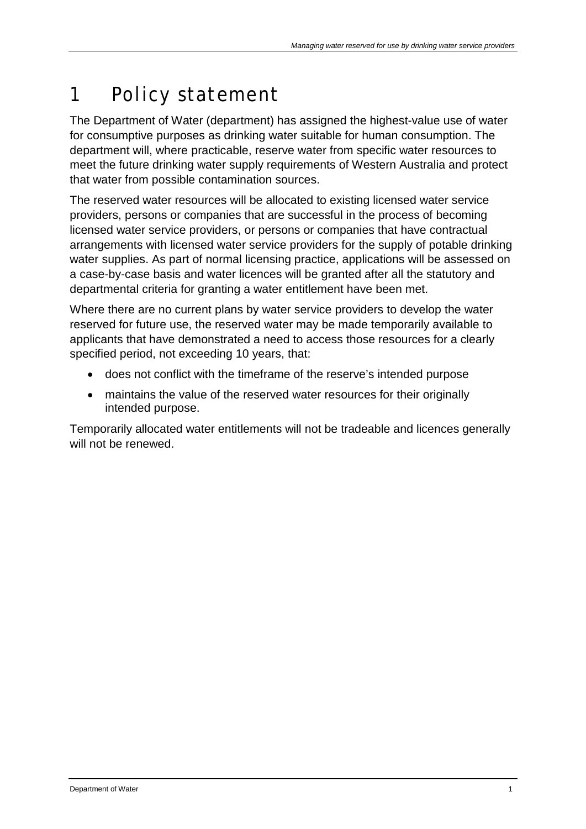# <span id="page-6-0"></span>1 Policy statement

The Department of Water (department) has assigned the highest-value use of water for consumptive purposes as drinking water suitable for human consumption. The department will, where practicable, reserve water from specific water resources to meet the future drinking water supply requirements of Western Australia and protect that water from possible contamination sources.

The reserved water resources will be allocated to existing licensed water service providers, persons or companies that are successful in the process of becoming licensed water service providers, or persons or companies that have contractual arrangements with licensed water service providers for the supply of potable drinking water supplies. As part of normal licensing practice, applications will be assessed on a case-by-case basis and water licences will be granted after all the statutory and departmental criteria for granting a water entitlement have been met.

Where there are no current plans by water service providers to develop the water reserved for future use, the reserved water may be made temporarily available to applicants that have demonstrated a need to access those resources for a clearly specified period, not exceeding 10 years, that:

- does not conflict with the timeframe of the reserve's intended purpose
- maintains the value of the reserved water resources for their originally intended purpose.

Temporarily allocated water entitlements will not be tradeable and licences generally will not be renewed.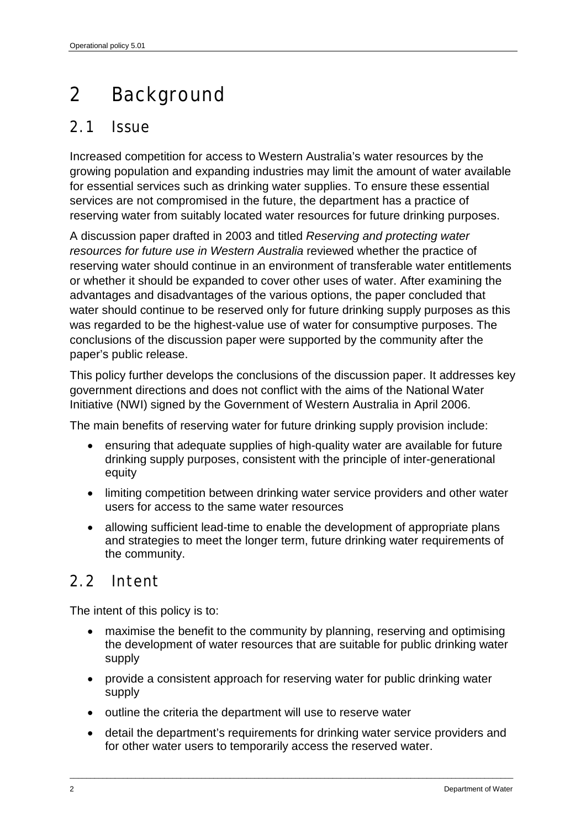## <span id="page-7-0"></span>2 Background

### <span id="page-7-1"></span>2.1 Issue

Increased competition for access to Western Australia's water resources by the growing population and expanding industries may limit the amount of water available for essential services such as drinking water supplies. To ensure these essential services are not compromised in the future, the department has a practice of reserving water from suitably located water resources for future drinking purposes.

A discussion paper drafted in 2003 and titled *Reserving and protecting water resources for future use in Western Australia* reviewed whether the practice of reserving water should continue in an environment of transferable water entitlements or whether it should be expanded to cover other uses of water. After examining the advantages and disadvantages of the various options, the paper concluded that water should continue to be reserved only for future drinking supply purposes as this was regarded to be the highest-value use of water for consumptive purposes. The conclusions of the discussion paper were supported by the community after the paper's public release.

This policy further develops the conclusions of the discussion paper. It addresses key government directions and does not conflict with the aims of the National Water Initiative (NWI) signed by the Government of Western Australia in April 2006.

The main benefits of reserving water for future drinking supply provision include:

- ensuring that adequate supplies of high-quality water are available for future drinking supply purposes, consistent with the principle of inter-generational equity
- limiting competition between drinking water service providers and other water users for access to the same water resources
- allowing sufficient lead-time to enable the development of appropriate plans and strategies to meet the longer term, future drinking water requirements of the community.

#### <span id="page-7-2"></span>2.2 Intent

The intent of this policy is to:

- maximise the benefit to the community by planning, reserving and optimising the development of water resources that are suitable for public drinking water supply
- provide a consistent approach for reserving water for public drinking water supply
- outline the criteria the department will use to reserve water
- detail the department's requirements for drinking water service providers and for other water users to temporarily access the reserved water.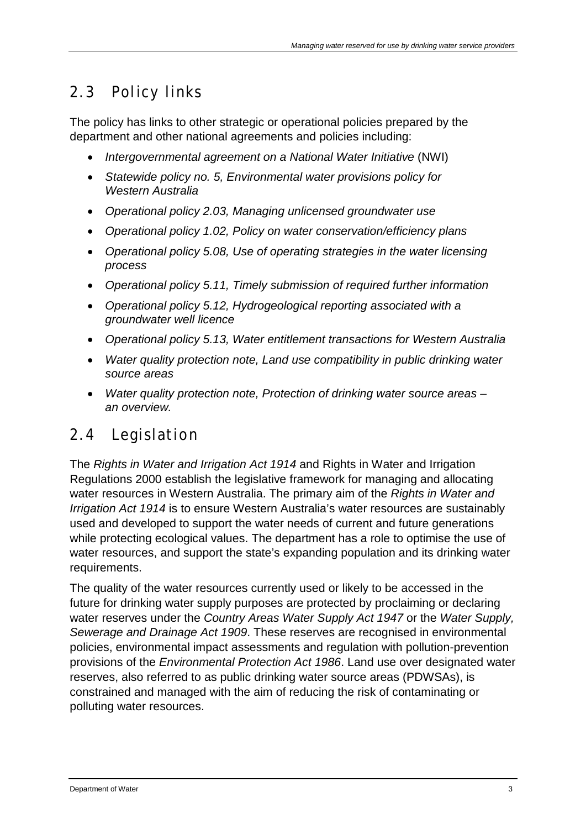### <span id="page-8-0"></span>2.3 Policy links

The policy has links to other strategic or operational policies prepared by the department and other national agreements and policies including:

- *Intergovernmental agreement on a National Water Initiative* (NWI)
- *Statewide policy no. 5, Environmental water provisions policy for Western Australia*
- *Operational policy 2.03, Managing unlicensed groundwater use*
- *Operational policy 1.02, Policy on water conservation/efficiency plans*
- *Operational policy 5.08, Use of operating strategies in the water licensing process*
- *Operational policy 5.11, Timely submission of required further information*
- *Operational policy 5.12, Hydrogeological reporting associated with a groundwater well licence*
- *Operational policy 5.13, Water entitlement transactions for Western Australia*
- *Water quality protection note, Land use compatibility in public drinking water source areas*
- *Water quality protection note, Protection of drinking water source areas an overview.*

### <span id="page-8-1"></span>2.4 Legislation

The *Rights in Water and Irrigation Act 1914* and Rights in Water and Irrigation Regulations 2000 establish the legislative framework for managing and allocating water resources in Western Australia. The primary aim of the *Rights in Water and Irrigation Act 1914* is to ensure Western Australia's water resources are sustainably used and developed to support the water needs of current and future generations while protecting ecological values. The department has a role to optimise the use of water resources, and support the state's expanding population and its drinking water requirements.

The quality of the water resources currently used or likely to be accessed in the future for drinking water supply purposes are protected by proclaiming or declaring water reserves under the *Country Areas Water Supply Act 1947* or the *Water Supply, Sewerage and Drainage Act 1909*. These reserves are recognised in environmental policies, environmental impact assessments and regulation with pollution-prevention provisions of the *Environmental Protection Act 1986*. Land use over designated water reserves, also referred to as public drinking water source areas (PDWSAs), is constrained and managed with the aim of reducing the risk of contaminating or polluting water resources.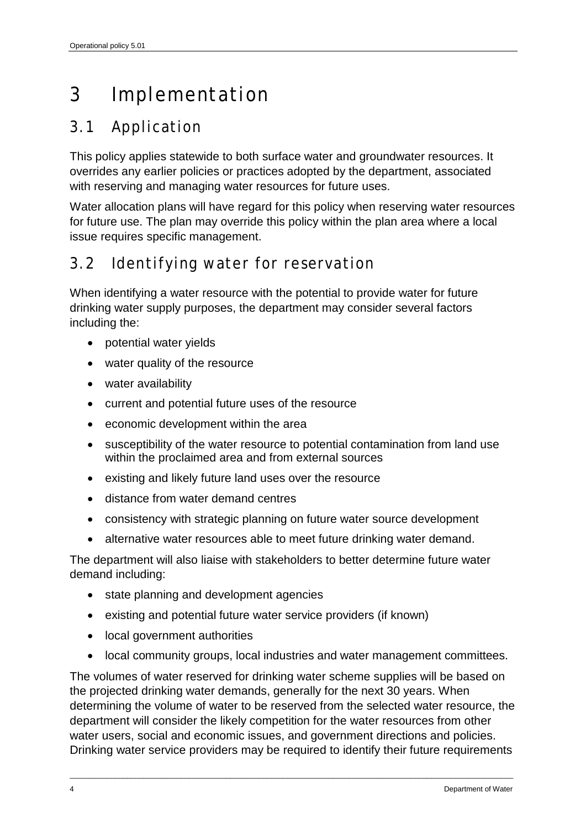# <span id="page-9-0"></span>3 Implementation

### <span id="page-9-1"></span>3.1 Application

This policy applies statewide to both surface water and groundwater resources. It overrides any earlier policies or practices adopted by the department, associated with reserving and managing water resources for future uses.

Water allocation plans will have regard for this policy when reserving water resources for future use. The plan may override this policy within the plan area where a local issue requires specific management.

### <span id="page-9-2"></span>3.2 Identifying water for reservation

When identifying a water resource with the potential to provide water for future drinking water supply purposes, the department may consider several factors including the:

- potential water yields
- water quality of the resource
- water availability
- current and potential future uses of the resource
- economic development within the area
- susceptibility of the water resource to potential contamination from land use within the proclaimed area and from external sources
- existing and likely future land uses over the resource
- distance from water demand centres
- consistency with strategic planning on future water source development
- alternative water resources able to meet future drinking water demand.

The department will also liaise with stakeholders to better determine future water demand including:

- state planning and development agencies
- existing and potential future water service providers (if known)
- local government authorities
- local community groups, local industries and water management committees.

The volumes of water reserved for drinking water scheme supplies will be based on the projected drinking water demands, generally for the next 30 years. When determining the volume of water to be reserved from the selected water resource, the department will consider the likely competition for the water resources from other water users, social and economic issues, and government directions and policies. Drinking water service providers may be required to identify their future requirements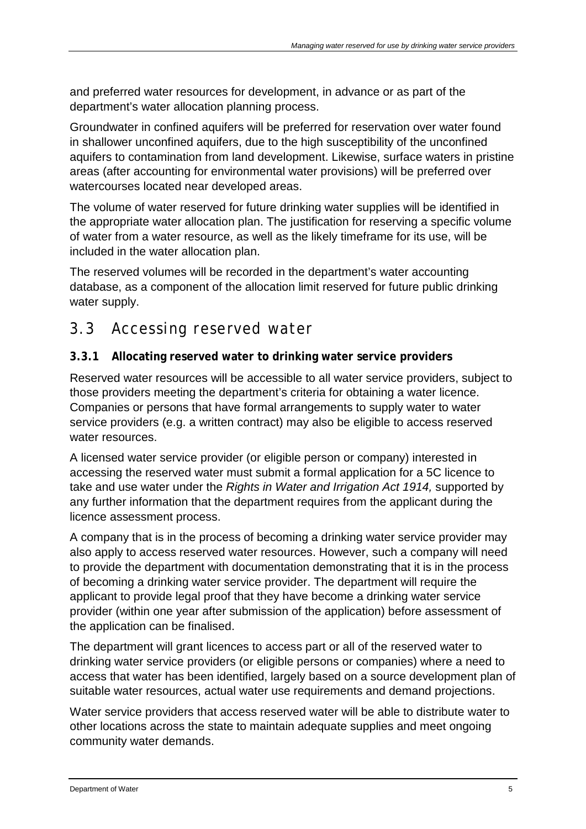and preferred water resources for development, in advance or as part of the department's water allocation planning process.

Groundwater in confined aquifers will be preferred for reservation over water found in shallower unconfined aquifers, due to the high susceptibility of the unconfined aquifers to contamination from land development. Likewise, surface waters in pristine areas (after accounting for environmental water provisions) will be preferred over watercourses located near developed areas.

The volume of water reserved for future drinking water supplies will be identified in the appropriate water allocation plan. The justification for reserving a specific volume of water from a water resource, as well as the likely timeframe for its use, will be included in the water allocation plan.

The reserved volumes will be recorded in the department's water accounting database, as a component of the allocation limit reserved for future public drinking water supply.

### <span id="page-10-0"></span>3.3 Accessing reserved water

#### <span id="page-10-1"></span>**3.3.1 Allocating reserved water to drinking water service providers**

Reserved water resources will be accessible to all water service providers, subject to those providers meeting the department's criteria for obtaining a water licence. Companies or persons that have formal arrangements to supply water to water service providers (e.g. a written contract) may also be eligible to access reserved water resources.

A licensed water service provider (or eligible person or company) interested in accessing the reserved water must submit a formal application for a 5C licence to take and use water under the *Rights in Water and Irrigation Act 1914,* supported by any further information that the department requires from the applicant during the licence assessment process.

A company that is in the process of becoming a drinking water service provider may also apply to access reserved water resources. However, such a company will need to provide the department with documentation demonstrating that it is in the process of becoming a drinking water service provider. The department will require the applicant to provide legal proof that they have become a drinking water service provider (within one year after submission of the application) before assessment of the application can be finalised.

The department will grant licences to access part or all of the reserved water to drinking water service providers (or eligible persons or companies) where a need to access that water has been identified, largely based on a source development plan of suitable water resources, actual water use requirements and demand projections.

Water service providers that access reserved water will be able to distribute water to other locations across the state to maintain adequate supplies and meet ongoing community water demands.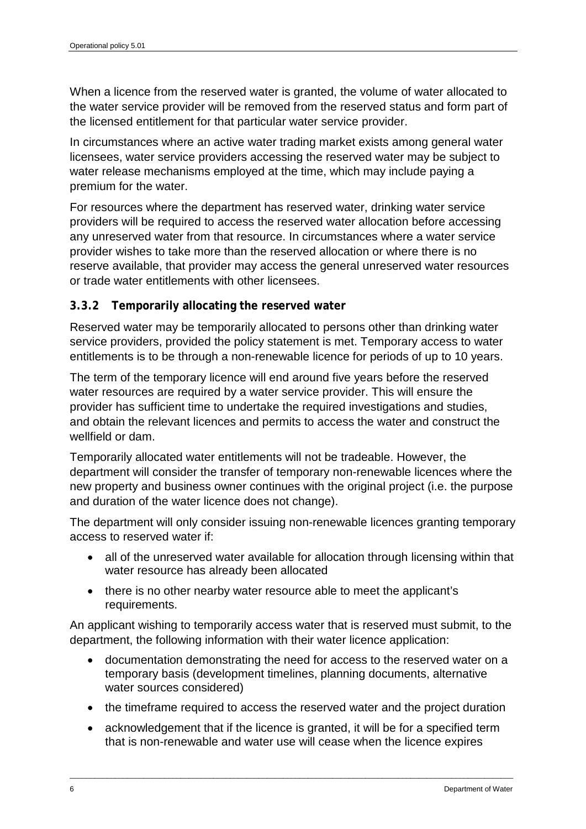When a licence from the reserved water is granted, the volume of water allocated to the water service provider will be removed from the reserved status and form part of the licensed entitlement for that particular water service provider.

In circumstances where an active water trading market exists among general water licensees, water service providers accessing the reserved water may be subject to water release mechanisms employed at the time, which may include paying a premium for the water.

For resources where the department has reserved water, drinking water service providers will be required to access the reserved water allocation before accessing any unreserved water from that resource. In circumstances where a water service provider wishes to take more than the reserved allocation or where there is no reserve available, that provider may access the general unreserved water resources or trade water entitlements with other licensees.

#### <span id="page-11-0"></span>**3.3.2 Temporarily allocating the reserved water**

Reserved water may be temporarily allocated to persons other than drinking water service providers, provided the policy statement is met. Temporary access to water entitlements is to be through a non-renewable licence for periods of up to 10 years.

The term of the temporary licence will end around five years before the reserved water resources are required by a water service provider. This will ensure the provider has sufficient time to undertake the required investigations and studies, and obtain the relevant licences and permits to access the water and construct the wellfield or dam.

Temporarily allocated water entitlements will not be tradeable. However, the department will consider the transfer of temporary non-renewable licences where the new property and business owner continues with the original project (i.e. the purpose and duration of the water licence does not change).

The department will only consider issuing non-renewable licences granting temporary access to reserved water if:

- all of the unreserved water available for allocation through licensing within that water resource has already been allocated
- there is no other nearby water resource able to meet the applicant's requirements.

An applicant wishing to temporarily access water that is reserved must submit, to the department, the following information with their water licence application:

- documentation demonstrating the need for access to the reserved water on a temporary basis (development timelines, planning documents, alternative water sources considered)
- the timeframe required to access the reserved water and the project duration
- acknowledgement that if the licence is granted, it will be for a specified term that is non-renewable and water use will cease when the licence expires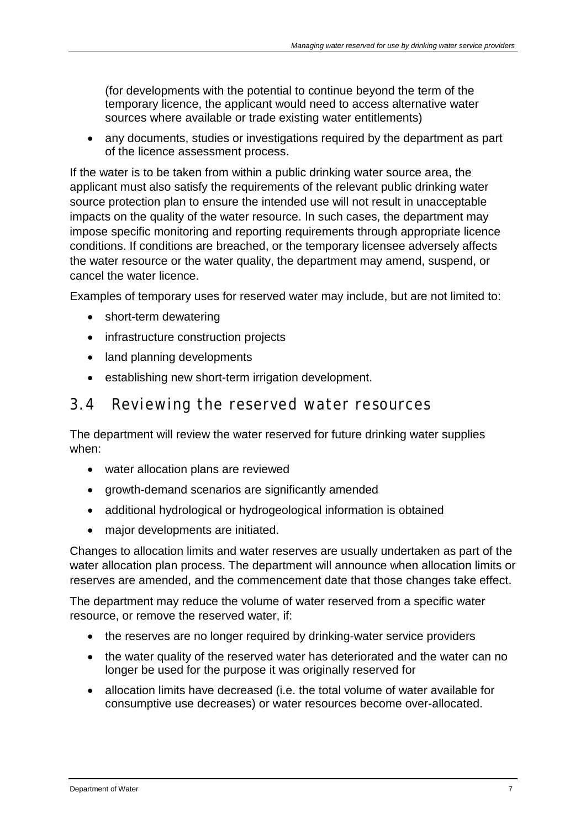(for developments with the potential to continue beyond the term of the temporary licence, the applicant would need to access alternative water sources where available or trade existing water entitlements)

• any documents, studies or investigations required by the department as part of the licence assessment process.

If the water is to be taken from within a public drinking water source area, the applicant must also satisfy the requirements of the relevant public drinking water source protection plan to ensure the intended use will not result in unacceptable impacts on the quality of the water resource. In such cases, the department may impose specific monitoring and reporting requirements through appropriate licence conditions. If conditions are breached, or the temporary licensee adversely affects the water resource or the water quality, the department may amend, suspend, or cancel the water licence.

Examples of temporary uses for reserved water may include, but are not limited to:

- short-term dewatering
- infrastructure construction projects
- land planning developments
- establishing new short-term irrigation development.

### <span id="page-12-0"></span>3.4 Reviewing the reserved water resources

The department will review the water reserved for future drinking water supplies when:

- water allocation plans are reviewed
- growth-demand scenarios are significantly amended
- additional hydrological or hydrogeological information is obtained
- major developments are initiated.

Changes to allocation limits and water reserves are usually undertaken as part of the water allocation plan process. The department will announce when allocation limits or reserves are amended, and the commencement date that those changes take effect.

The department may reduce the volume of water reserved from a specific water resource, or remove the reserved water, if:

- the reserves are no longer required by drinking-water service providers
- the water quality of the reserved water has deteriorated and the water can no longer be used for the purpose it was originally reserved for
- allocation limits have decreased (i.e. the total volume of water available for consumptive use decreases) or water resources become over-allocated.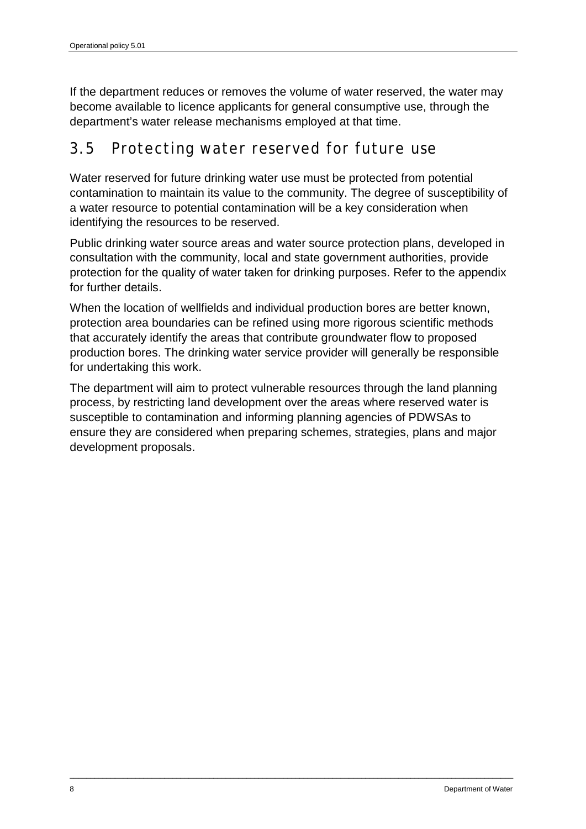If the department reduces or removes the volume of water reserved, the water may become available to licence applicants for general consumptive use, through the department's water release mechanisms employed at that time.

### <span id="page-13-0"></span>3.5 Protecting water reserved for future use

Water reserved for future drinking water use must be protected from potential contamination to maintain its value to the community. The degree of susceptibility of a water resource to potential contamination will be a key consideration when identifying the resources to be reserved.

Public drinking water source areas and water source protection plans, developed in consultation with the community, local and state government authorities, provide protection for the quality of water taken for drinking purposes. Refer to the appendix for further details.

When the location of wellfields and individual production bores are better known, protection area boundaries can be refined using more rigorous scientific methods that accurately identify the areas that contribute groundwater flow to proposed production bores. The drinking water service provider will generally be responsible for undertaking this work.

The department will aim to protect vulnerable resources through the land planning process, by restricting land development over the areas where reserved water is susceptible to contamination and informing planning agencies of PDWSAs to ensure they are considered when preparing schemes, strategies, plans and major development proposals.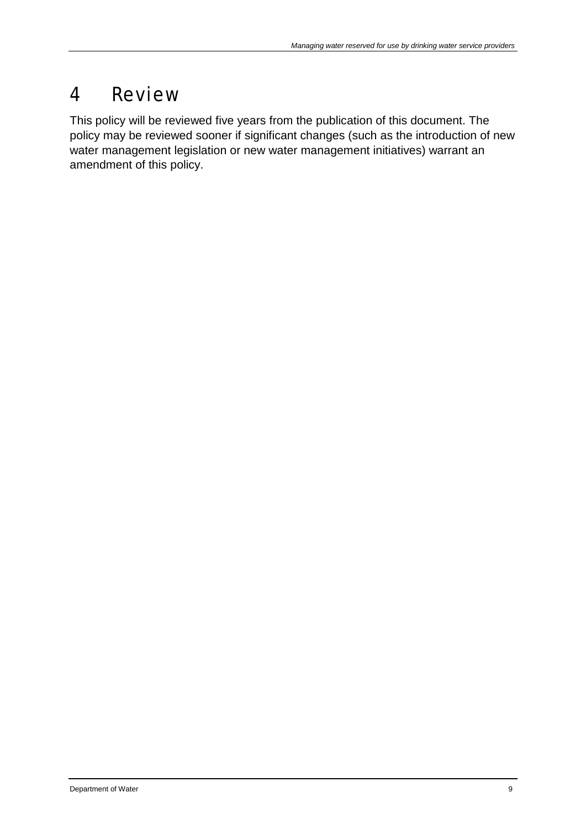## <span id="page-14-0"></span>4 Review

This policy will be reviewed five years from the publication of this document. The policy may be reviewed sooner if significant changes (such as the introduction of new water management legislation or new water management initiatives) warrant an amendment of this policy.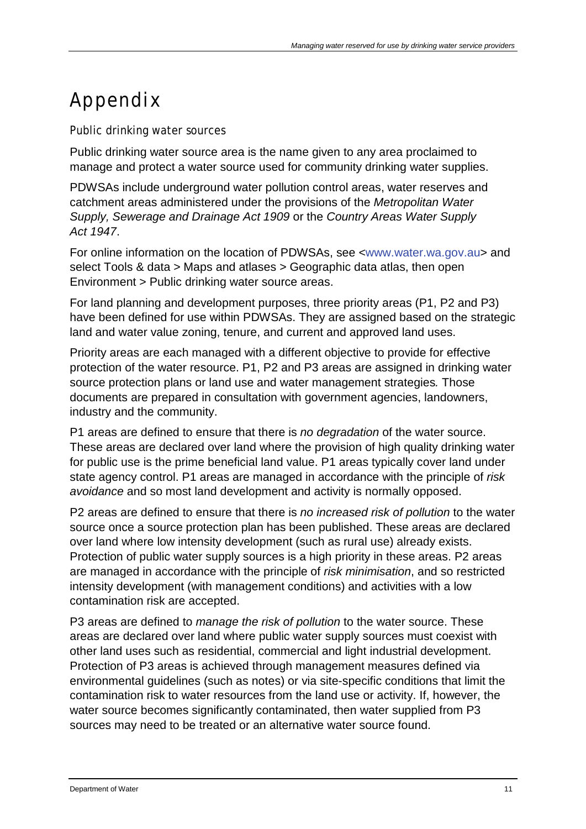# <span id="page-16-0"></span>Appendix

Public drinking water sources

Public drinking water source area is the name given to any area proclaimed to manage and protect a water source used for community drinking water supplies.

PDWSAs include underground water pollution control areas, water reserves and catchment areas administered under the provisions of the *Metropolitan Water Supply, Sewerage and Drainage Act 1909* or the *Country Areas Water Supply Act 1947*.

For online information on the location of PDWSAs, see [<www.water.wa.gov.au>](http://www.water.wa.gov.au/) and select Tools & data > Maps and atlases > Geographic data atlas, then open Environment > Public drinking water source areas.

For land planning and development purposes, three priority areas (P1, P2 and P3) have been defined for use within PDWSAs. They are assigned based on the strategic land and water value zoning, tenure, and current and approved land uses.

Priority areas are each managed with a different objective to provide for effective protection of the water resource. P1, P2 and P3 areas are assigned in drinking water source protection plans or land use and water management strategies*.* Those documents are prepared in consultation with government agencies, landowners, industry and the community.

P1 areas are defined to ensure that there is *no degradation* of the water source. These areas are declared over land where the provision of high quality drinking water for public use is the prime beneficial land value. P1 areas typically cover land under state agency control. P1 areas are managed in accordance with the principle of *risk avoidance* and so most land development and activity is normally opposed.

P2 areas are defined to ensure that there is *no increased risk of pollution* to the water source once a source protection plan has been published. These areas are declared over land where low intensity development (such as rural use) already exists. Protection of public water supply sources is a high priority in these areas. P2 areas are managed in accordance with the principle of *risk minimisation*, and so restricted intensity development (with management conditions) and activities with a low contamination risk are accepted.

P3 areas are defined to *manage the risk of pollution* to the water source. These areas are declared over land where public water supply sources must coexist with other land uses such as residential, commercial and light industrial development. Protection of P3 areas is achieved through management measures defined via environmental guidelines (such as notes) or via site-specific conditions that limit the contamination risk to water resources from the land use or activity. If, however, the water source becomes significantly contaminated, then water supplied from P3 sources may need to be treated or an alternative water source found.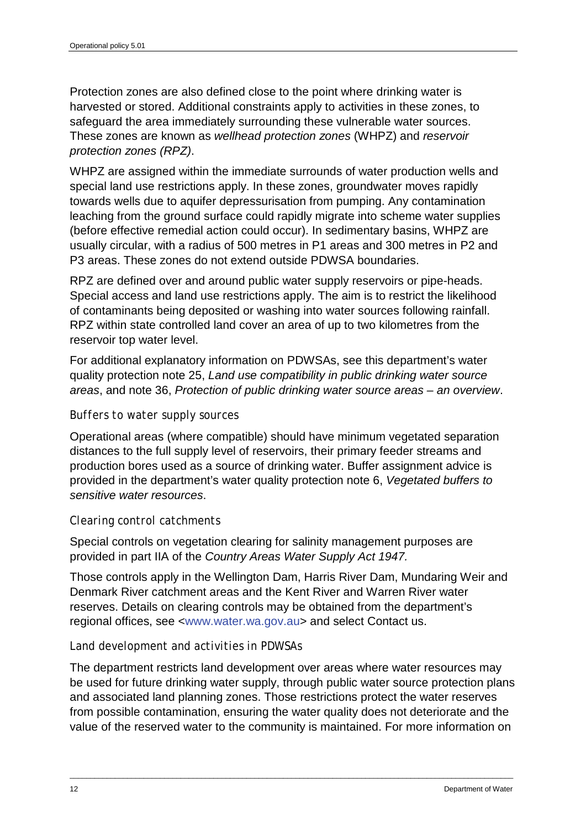Protection zones are also defined close to the point where drinking water is harvested or stored. Additional constraints apply to activities in these zones, to safeguard the area immediately surrounding these vulnerable water sources. These zones are known as *wellhead protection zones* (WHPZ) and *reservoir protection zones (RPZ)*.

WHPZ are assigned within the immediate surrounds of water production wells and special land use restrictions apply. In these zones, groundwater moves rapidly towards wells due to aquifer depressurisation from pumping. Any contamination leaching from the ground surface could rapidly migrate into scheme water supplies (before effective remedial action could occur). In sedimentary basins, WHPZ are usually circular, with a radius of 500 metres in P1 areas and 300 metres in P2 and P3 areas. These zones do not extend outside PDWSA boundaries.

RPZ are defined over and around public water supply reservoirs or pipe-heads. Special access and land use restrictions apply. The aim is to restrict the likelihood of contaminants being deposited or washing into water sources following rainfall. RPZ within state controlled land cover an area of up to two kilometres from the reservoir top water level.

For additional explanatory information on PDWSAs, see this department's water quality protection note 25, *Land use compatibility in public drinking water source areas*, and note 36, *Protection of public drinking water source areas – an overview*.

#### *Buffers to water supply sources*

Operational areas (where compatible) should have minimum vegetated separation distances to the full supply level of reservoirs, their primary feeder streams and production bores used as a source of drinking water. Buffer assignment advice is provided in the department's water quality protection note 6, *Vegetated buffers to sensitive water resources*.

#### *Clearing control catchments*

Special controls on vegetation clearing for salinity management purposes are provided in part IIA of the *Country Areas Water Supply Act 1947.*

Those controls apply in the Wellington Dam, Harris River Dam, Mundaring Weir and Denmark River catchment areas and the Kent River and Warren River water reserves. Details on clearing controls may be obtained from the department's regional offices, see [<www.water.wa.gov.au>](http://www.water.wa.gov.au/) and select Contact us.

#### *Land development and activities in PDWSAs*

The department restricts land development over areas where water resources may be used for future drinking water supply, through public water source protection plans and associated land planning zones. Those restrictions protect the water reserves from possible contamination, ensuring the water quality does not deteriorate and the value of the reserved water to the community is maintained. For more information on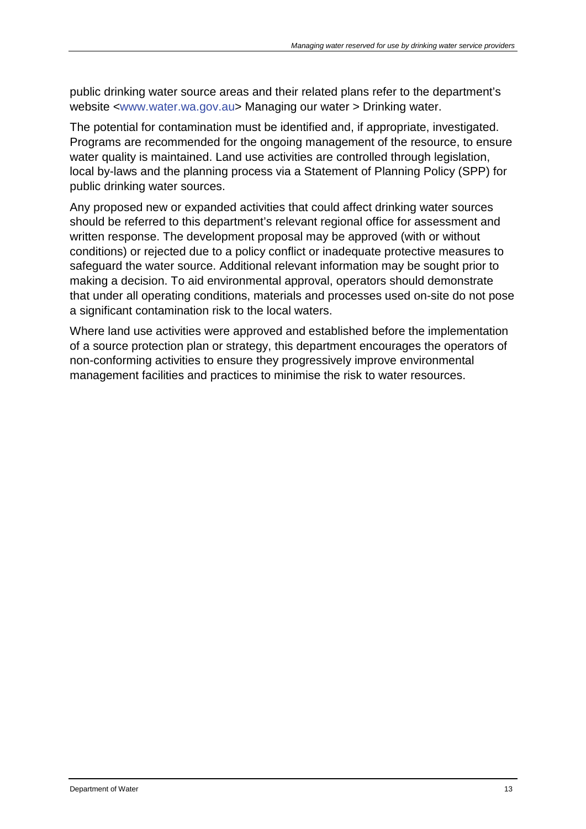public drinking water source areas and their related plans refer to the department's website [<www.water.wa.gov.au>](http://www.water.wa.gov.au/) Managing our water > Drinking water.

The potential for contamination must be identified and, if appropriate, investigated. Programs are recommended for the ongoing management of the resource, to ensure water quality is maintained. Land use activities are controlled through legislation, local by-laws and the planning process via a Statement of Planning Policy (SPP) for public drinking water sources.

Any proposed new or expanded activities that could affect drinking water sources should be referred to this department's relevant regional office for assessment and written response. The development proposal may be approved (with or without conditions) or rejected due to a policy conflict or inadequate protective measures to safeguard the water source. Additional relevant information may be sought prior to making a decision. To aid environmental approval, operators should demonstrate that under all operating conditions, materials and processes used on-site do not pose a significant contamination risk to the local waters.

Where land use activities were approved and established before the implementation of a source protection plan or strategy, this department encourages the operators of non-conforming activities to ensure they progressively improve environmental management facilities and practices to minimise the risk to water resources.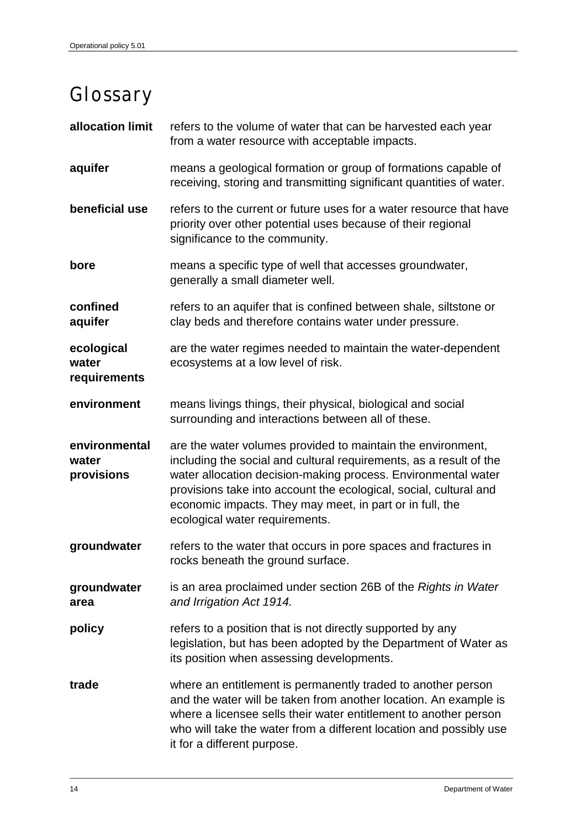# <span id="page-19-0"></span>Glossary

| allocation limit                     | refers to the volume of water that can be harvested each year<br>from a water resource with acceptable impacts.                                                                                                                                                                                                                                                       |
|--------------------------------------|-----------------------------------------------------------------------------------------------------------------------------------------------------------------------------------------------------------------------------------------------------------------------------------------------------------------------------------------------------------------------|
| aquifer                              | means a geological formation or group of formations capable of<br>receiving, storing and transmitting significant quantities of water.                                                                                                                                                                                                                                |
| beneficial use                       | refers to the current or future uses for a water resource that have<br>priority over other potential uses because of their regional<br>significance to the community.                                                                                                                                                                                                 |
| bore                                 | means a specific type of well that accesses groundwater,<br>generally a small diameter well.                                                                                                                                                                                                                                                                          |
| confined<br>aquifer                  | refers to an aquifer that is confined between shale, siltstone or<br>clay beds and therefore contains water under pressure.                                                                                                                                                                                                                                           |
| ecological<br>water<br>requirements  | are the water regimes needed to maintain the water-dependent<br>ecosystems at a low level of risk.                                                                                                                                                                                                                                                                    |
| environment                          | means livings things, their physical, biological and social<br>surrounding and interactions between all of these.                                                                                                                                                                                                                                                     |
| environmental<br>water<br>provisions | are the water volumes provided to maintain the environment,<br>including the social and cultural requirements, as a result of the<br>water allocation decision-making process. Environmental water<br>provisions take into account the ecological, social, cultural and<br>economic impacts. They may meet, in part or in full, the<br>ecological water requirements. |
| groundwater                          | refers to the water that occurs in pore spaces and fractures in<br>rocks beneath the ground surface                                                                                                                                                                                                                                                                   |
| groundwater<br>area                  | is an area proclaimed under section 26B of the Rights in Water<br>and Irrigation Act 1914.                                                                                                                                                                                                                                                                            |
| policy                               | refers to a position that is not directly supported by any<br>legislation, but has been adopted by the Department of Water as<br>its position when assessing developments.                                                                                                                                                                                            |
| trade                                | where an entitlement is permanently traded to another person<br>and the water will be taken from another location. An example is<br>where a licensee sells their water entitlement to another person<br>who will take the water from a different location and possibly use<br>it for a different purpose.                                                             |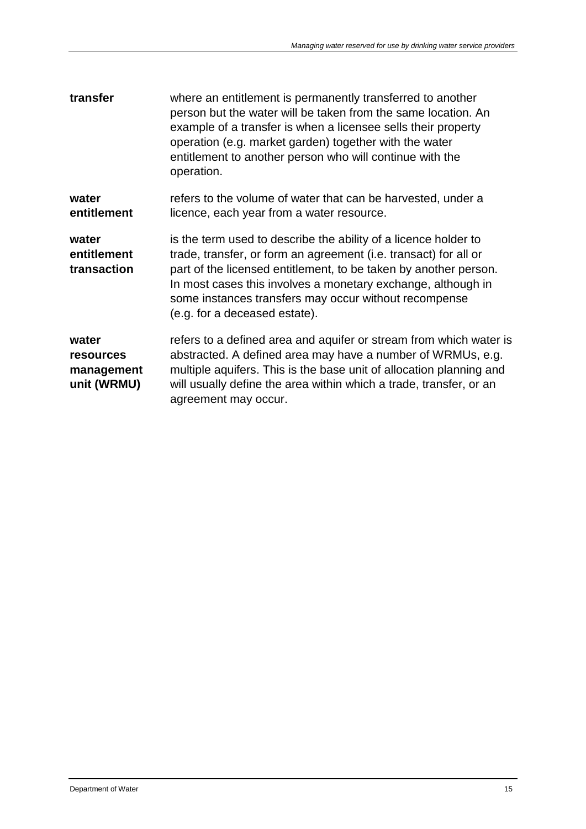| transfer                                               | where an entitlement is permanently transferred to another<br>person but the water will be taken from the same location. An<br>example of a transfer is when a licensee sells their property<br>operation (e.g. market garden) together with the water<br>entitlement to another person who will continue with the<br>operation.                                  |
|--------------------------------------------------------|-------------------------------------------------------------------------------------------------------------------------------------------------------------------------------------------------------------------------------------------------------------------------------------------------------------------------------------------------------------------|
| water<br>entitlement                                   | refers to the volume of water that can be harvested, under a<br>licence, each year from a water resource.                                                                                                                                                                                                                                                         |
| water<br>entitlement<br>transaction                    | is the term used to describe the ability of a licence holder to<br>trade, transfer, or form an agreement (i.e. transact) for all or<br>part of the licensed entitlement, to be taken by another person.<br>In most cases this involves a monetary exchange, although in<br>some instances transfers may occur without recompense<br>(e.g. for a deceased estate). |
| water<br><b>resources</b><br>management<br>unit (WRMU) | refers to a defined area and aquifer or stream from which water is<br>abstracted. A defined area may have a number of WRMUs, e.g.<br>multiple aquifers. This is the base unit of allocation planning and<br>will usually define the area within which a trade, transfer, or an<br>agreement may occur.                                                            |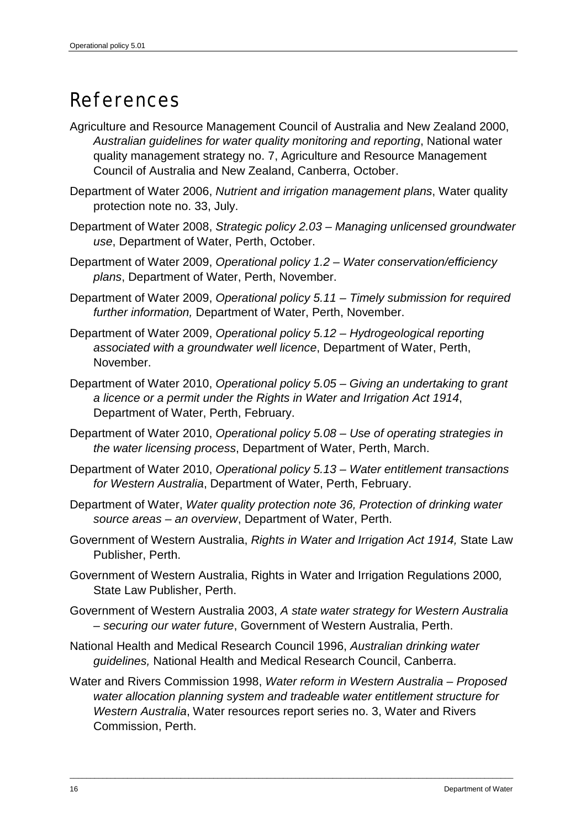## <span id="page-21-0"></span>References

- Agriculture and Resource Management Council of Australia and New Zealand 2000, *Australian guidelines for water quality monitoring and reporting*, National water quality management strategy no. 7, Agriculture and Resource Management Council of Australia and New Zealand, Canberra, October.
- Department of Water 2006, *Nutrient and irrigation management plans*, Water quality protection note no. 33, July.
- Department of Water 2008, *Strategic policy 2.03 Managing unlicensed groundwater use*, Department of Water, Perth, October.
- Department of Water 2009, *Operational policy 1.2 – Water conservation/efficiency plans*, Department of Water, Perth, November.
- Department of Water 2009, *Operational policy 5.11 – Timely submission for required further information,* Department of Water, Perth, November.
- Department of Water 2009, *Operational policy 5.12 Hydrogeological reporting associated with a groundwater well licence*, Department of Water, Perth, November.
- Department of Water 2010, *Operational policy 5.05 Giving an undertaking to grant a licence or a permit under the Rights in Water and Irrigation Act 1914*, Department of Water, Perth, February.
- Department of Water 2010, *Operational policy 5.08 Use of operating strategies in the water licensing process*, Department of Water, Perth, March.
- Department of Water 2010, *Operational policy 5.13 – Water entitlement transactions for Western Australia*, Department of Water, Perth, February.
- Department of Water, *Water quality protection note 36, Protection of drinking water source areas – an overview*, Department of Water, Perth.
- Government of Western Australia, *Rights in Water and Irrigation Act 1914,* State Law Publisher, Perth.
- Government of Western Australia, Rights in Water and Irrigation Regulations 2000*,*  State Law Publisher, Perth.
- Government of Western Australia 2003, *A state water strategy for Western Australia – securing our water future*, Government of Western Australia, Perth.
- National Health and Medical Research Council 1996, *Australian drinking water guidelines,* National Health and Medical Research Council, Canberra.
- Water and Rivers Commission 1998, *Water reform in Western Australia Proposed water allocation planning system and tradeable water entitlement structure for Western Australia*, Water resources report series no. 3, Water and Rivers Commission, Perth.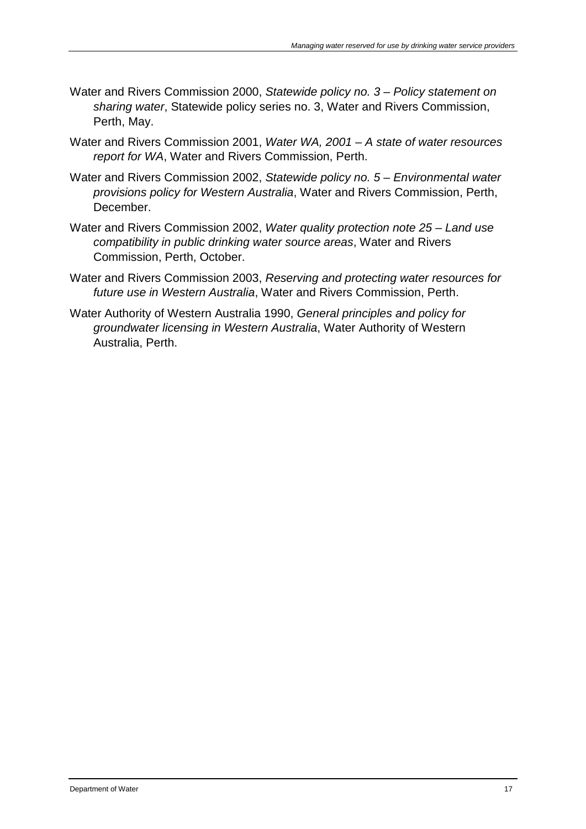- Water and Rivers Commission 2000, *Statewide policy no. 3 Policy statement on sharing water*, Statewide policy series no. 3, Water and Rivers Commission, Perth, May.
- Water and Rivers Commission 2001, *Water WA, 2001 A state of water resources report for WA*, Water and Rivers Commission, Perth.
- Water and Rivers Commission 2002, *Statewide policy no. 5 – Environmental water provisions policy for Western Australia*, Water and Rivers Commission, Perth, December.
- Water and Rivers Commission 2002, *Water quality protection note 25 Land use compatibility in public drinking water source areas*, Water and Rivers Commission, Perth, October.
- Water and Rivers Commission 2003, *Reserving and protecting water resources for future use in Western Australia*, Water and Rivers Commission, Perth.
- Water Authority of Western Australia 1990, *General principles and policy for groundwater licensing in Western Australia*, Water Authority of Western Australia, Perth.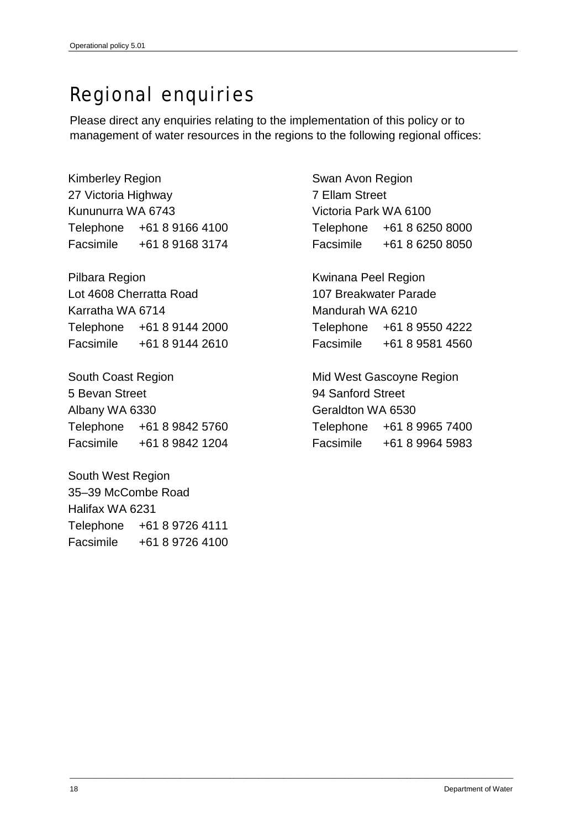## <span id="page-23-0"></span>Regional enquiries

Please direct any enquiries relating to the implementation of this policy or to management of water resources in the regions to the following regional offices:

\_\_\_\_\_\_\_\_\_\_\_\_\_\_\_\_\_\_\_\_\_\_\_\_\_\_\_\_\_\_\_\_\_\_\_\_\_\_\_\_\_\_\_\_\_\_\_\_\_\_\_\_\_\_\_\_\_\_\_\_\_\_\_\_\_\_\_\_\_\_\_\_\_\_\_\_\_\_\_\_\_\_\_\_\_\_\_\_\_\_\_\_\_\_\_\_\_\_\_\_\_\_\_\_\_\_\_\_

Kimberley Region 27 Victoria Highway Kununurra WA 6743 Telephone +61 8 9166 4100 Facsimile +61 8 9168 3174

Pilbara Region Lot 4608 Cherratta Road Karratha WA 6714 Telephone +61 8 9144 2000 Facsimile +61 8 9144 2610

South Coast Region 5 Bevan Street Albany WA 6330 Telephone +61 8 9842 5760 Facsimile +61 8 9842 1204

South West Region 35–39 McCombe Road Halifax WA 6231 Telephone +61 8 9726 4111 Facsimile +61 8 9726 4100 Swan Avon Region 7 Ellam Street Victoria Park WA 6100 Telephone +61 8 6250 8000 Facsimile +61 8 6250 8050

Kwinana Peel Region 107 Breakwater Parade Mandurah WA 6210 Telephone +61 8 9550 4222 Facsimile +61 8 9581 4560

Mid West Gascoyne Region 94 Sanford Street Geraldton WA 6530 Telephone +61 8 9965 7400 Facsimile +61 8 9964 5983